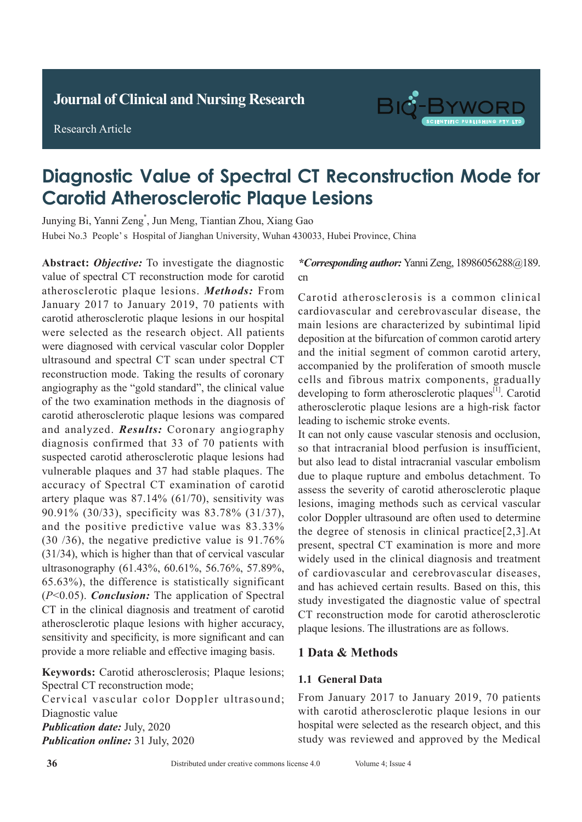Research Article



# **Diagnostic Value of Spectral CT Reconstruction Mode for Carotid Atherosclerotic Plaque Lesions**

Junying Bi, Yanni Zeng<sup>\*</sup>, Jun Meng, Tiantian Zhou, Xiang Gao Hubei No.3 People's Hospital of Jianghan University, Wuhan 430033, Hubei Province, China

Abstract: Objective: To investigate the diagnostic value of spectral CT reconstruction mode for carotid atherosclerotic plaque lesions. *Methods:* From January 2017 to January 2019, 70 patients with carotid atherosclerotic plaque lesions in our hospital were selected as the research object. All patients were diagnosed with cervical vascular color Doppler ultrasound and spectral CT scan under spectral CT reconstruction mode. Taking the results of coronary angiography as the "gold standard", the clinical value of the two examination methods in the diagnosis of carotid atherosclerotic plaque lesions was compared and analyzed. *Results:* Coronary angiography. diagnosis confirmed that 33 of 70 patients with suspected carotid atherosclerotic plaque lesions had vulnerable plaques and 37 had stable plaques. The accuracy of Spectral CT examination of carotid artery plaque was 87.14% (61/70), sensitivity was 90.91% (30/33), specificity was 83.78% (31/37), and the positive predictive value was  $\frac{83.33\%}{ }$  $(30 / 36)$ , the negative predictive value is 91.76% (31/34), which is higher than that of cervical vascular ultrasonography (61.43%, 60.61%, 56.76%, 57.89%, *Concert graphs* (externed scattering cancer, externed scan notice),  $\frac{1}{2}$ only find special tuberculosis lesions that cannot be (*P*<0.05). *Conclusion:* The application of Spectral CT in the clinical diagnosis and treatment of carotid act in the entirely diagnosis and reduced to entered atherosclerotic plaque lesions with higher accuracy, adults, and is particularly is one significant and can sensitivity and specificity, is more significant and can provide a more reliable and effective imaging basis.

Keywords: Carotid atherosclerosis; Plaque lesions; Spectral CT reconstruction mode;

Cervical vascular color Doppler ultrasound; Diagnostic value **Publication date: July, 2020** Publication online: 31 July, 2020

Pulmonary tuberculosis is a serious respiratory disease *\*Corresponding author:* Yanni Zeng, 18986056288@189.  $cn$  $\alpha$ n

 $\alpha$  is a high infectivity and mortality and mortality and mortality and mortality and mortality  $\alpha$ . Carollu allieroscierosis is a common crimical cardiovascular and cerebrovascular disease, the main lesions are characterized by subintimal lipid deposition at the bifurcation of common carotid artery and the initial segment of common carotid artery, accompanied by the proliferation of smooth muscle cells and fibrous matrix components, gradually developing to form atherosclerotic plaques<sup>[1]</sup>. Carotid atherosclerotic plaque lesions are a high-risk factor reading to ischemic stroke events. Carotid atherosclerosis is a common clinical leading to ischemic stroke events.

It can not only cause vascular stenosis and occlusion, so that intracranial blood perfusion is insufficient, but also lead to distal intracranial vascular embolism due to plaque rupture and embolus detachment. To assess the severity of carotid atherosclerotic plaque lesions, imaging methods such as cervical vascular color Doppler ultrasound are often used to determine the degree of stenosis in clinical practice[2,3].At present, spectral CT examination is more and more widely used in the clinical diagnosis and treatment of cardiovascular and cerebrovascular diseases, and has achieved certain results. Based on this, this study investigated the diagnostic value of spectral plaque lesions. The illustrations are as follows. CT reconstruction mode for carotid atherosclerotic

## **1 Data & Methods**

# The clinical data of 60 adult patients with active **1.1 General Data**

put out tuberculosis who were treated in our terms who were the set of the set of the set of the set of the set of the set of the set of the set of the set of the set of the set of the set of the set of the set of the set From January 2017 to January 2019, 70 patients with carotid atherosclerotic plaque lesions in our hospital were selected as the research object, and this study was reviewed and approved by the Medical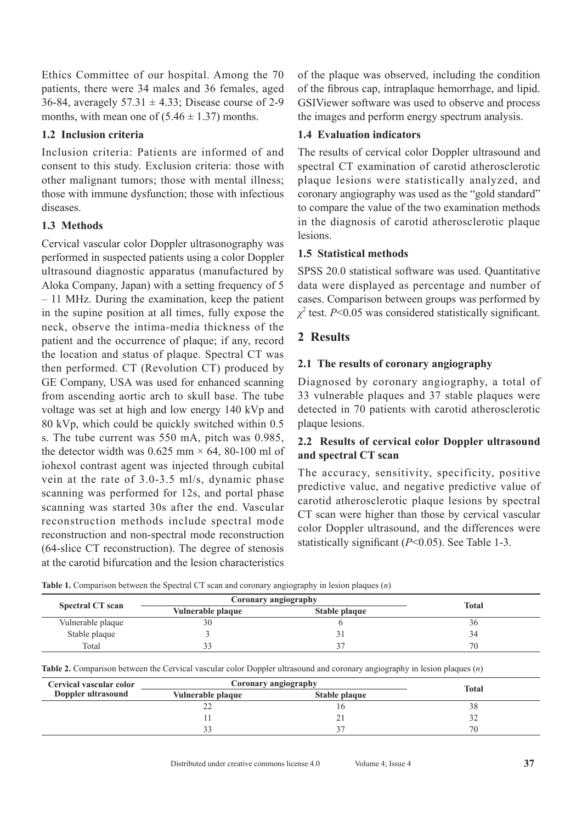Ethics Committee of our hospital. Among the 70 patients, there were 34 males and 36 females, aged 36-84, averagely  $57.31 \pm 4.33$ ; Disease course of 2-9 months, with mean one of  $(5.46 \pm 1.37)$  months.

#### **1.2 Inclusion criteria**

Inclusion criteria: Patients are informed of and consent to this study. Exclusion criteria: those with other malignant tumors; those with mental illness; those with immune dysfunction; those with infectious diseases.

#### **1.3 Methods**

Cervical vascular color Doppler ultrasonography was performed in suspected patients using a color Doppler ultrasound diagnostic apparatus (manufactured by Aloka Company, Japan) with a setting frequency of 5 – 11 MHz. During the examination, keep the patient in the supine position at all times, fully expose the neck, observe the intima-media thickness of the patient and the occurrence of plaque; if any, record the location and status of plaque. Spectral CT was then performed. CT (Revolution CT) produced by GE Company, USA was used for enhanced scanning from ascending aortic arch to skull base. The tube voltage was set at high and low energy 140 kVp and 80 kVp, which could be quickly switched within 0.5 s. The tube current was 550 mA, pitch was 0.985, the detector width was 0.625 mm  $\times$  64, 80-100 ml of iohexol contrast agent was injected through cubital vein at the rate of 3.0-3.5 ml/s, dynamic phase scanning was performed for 12s, and portal phase scanning was started 30s after the end. Vascular reconstruction methods include spectral mode reconstruction and non-spectral mode reconstruction (64-slice CT reconstruction). The degree of stenosis at the carotid bifurcation and the lesion characteristics

of the plaque was observed, including the condition of the fibrous cap, intraplaque hemorrhage, and lipid. GSIViewer software was used to observe and process the images and perform energy spectrum analysis.

#### **1.4 Evaluation indicators**

The results of cervical color Doppler ultrasound and spectral CT examination of carotid atherosclerotic plaque lesions were statistically analyzed, and coronary angiography was used as the "gold standard" to compare the value of the two examination methods in the diagnosis of carotid atherosclerotic plaque lesions.

#### **1.5 Statistical methods**

SPSS 20.0 statistical software was used. Quantitative data were displayed as percentage and number of cases. Comparison between groups was performed by *χ* 2 test. *P*<0.05 was considered statistically significant.

### **2 Results**

#### **2.1 The results of coronary angiography**

Diagnosed by coronary angiography, a total of 33 vulnerable plaques and 37 stable plaques were detected in 70 patients with carotid atherosclerotic plaque lesions.

#### **2.2 Results of cervical color Doppler ultrasound and spectral CT scan**

The accuracy, sensitivity, specificity, positive predictive value, and negative predictive value of carotid atherosclerotic plaque lesions by spectral CT scan were higher than those by cervical vascular color Doppler ultrasound, and the differences were statistically significant (*P*<0.05). See Table 1-3.

**Table 1.** Comparison between the Spectral CT scan and coronary angiography in lesion plaques (*n*)

| <b>Spectral CT scan</b> | Coronary angiography               | <b>Total</b> |    |
|-------------------------|------------------------------------|--------------|----|
|                         | Vulnerable plaque<br>Stable plaque |              |    |
| Vulnerable plaque       |                                    |              | 20 |
| Stable plaque           |                                    |              |    |
| Total                   |                                    |              | 70 |

**Table 2.** Comparison between the Cervical vascular color Doppler ultrasound and coronary angiography in lesion plaques (*n*)

| Cervical vascular color<br>Doppler ultrasound | Coronary angiography | <b>Total</b>  |    |
|-----------------------------------------------|----------------------|---------------|----|
|                                               | Vulnerable plaque    | Stable plaque |    |
|                                               |                      |               |    |
|                                               |                      |               |    |
|                                               | ັ                    |               | 76 |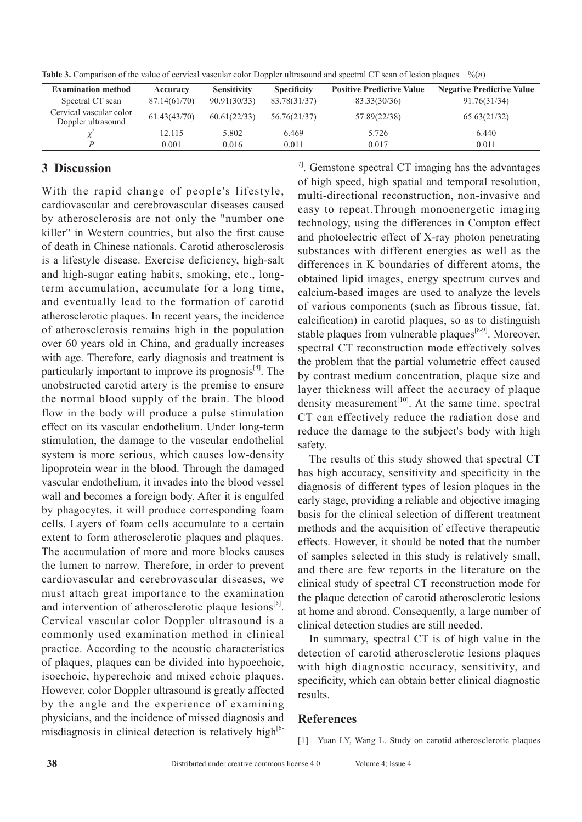**Table 3.** Comparison of the value of cervical vascular color Doppler ultrasound and spectral CT scan of lesion plaques  $\frac{\%(n)}{n}$ 

| <b>Examination method</b>                     | Accuracy     | <b>Sensitivity</b> | <b>Specificity</b> | <b>Positive Predictive Value</b> | <b>Negative Predictive Value</b> |
|-----------------------------------------------|--------------|--------------------|--------------------|----------------------------------|----------------------------------|
| Spectral CT scan                              | 87.14(61/70) | 90.91(30/33)       | 83.78(31/37)       | 83.33(30/36)                     | 91.76(31/34)                     |
| Cervical vascular color<br>Doppler ultrasound | 61.43(43/70) | 60.61(22/33)       | 56.76(21/37)       | 57.89(22/38)                     | 65.63(21/32)                     |
|                                               | 12.115       | 5.802              | 6.469              | 5.726                            | 6.440                            |
|                                               | 0.001        | 0.016              | 0.011              | 0.017                            | 0.011                            |

#### **3 Discussion**

With the rapid change of people's lifestyle, cardiovascular and cerebrovascular diseases caused by atherosclerosis are not only the "number one killer" in Western countries, but also the first cause of death in Chinese nationals. Carotid atherosclerosis is a lifestyle disease. Exercise deficiency, high-salt and high-sugar eating habits, smoking, etc., longterm accumulation, accumulate for a long time, and eventually lead to the formation of carotid atherosclerotic plaques. In recent years, the incidence of atherosclerosis remains high in the population over 60 years old in China, and gradually increases with age. Therefore, early diagnosis and treatment is particularly important to improve its prognosis $[4]$ . The unobstructed carotid artery is the premise to ensure the normal blood supply of the brain. The blood flow in the body will produce a pulse stimulation effect on its vascular endothelium. Under long-term stimulation, the damage to the vascular endothelial system is more serious, which causes low-density lipoprotein wear in the blood. Through the damaged vascular endothelium, it invades into the blood vessel wall and becomes a foreign body. After it is engulfed by phagocytes, it will produce corresponding foam cells. Layers of foam cells accumulate to a certain extent to form atherosclerotic plaques and plaques. The accumulation of more and more blocks causes the lumen to narrow. Therefore, in order to prevent cardiovascular and cerebrovascular diseases, we must attach great importance to the examination and intervention of atherosclerotic plaque lesions<sup>[5]</sup>. Cervical vascular color Doppler ultrasound is a commonly used examination method in clinical practice. According to the acoustic characteristics of plaques, plaques can be divided into hypoechoic, isoechoic, hyperechoic and mixed echoic plaques. However, color Doppler ultrasound is greatly affected by the angle and the experience of examining physicians, and the incidence of missed diagnosis and misdiagnosis in clinical detection is relatively high $[6-$   $7<sup>7</sup>$ . Gemstone spectral CT imaging has the advantages of high speed, high spatial and temporal resolution, multi-directional reconstruction, non-invasive and easy to repeat.Through monoenergetic imaging technology, using the differences in Compton effect and photoelectric effect of X-ray photon penetrating substances with different energies as well as the differences in K boundaries of different atoms, the obtained lipid images, energy spectrum curves and calcium-based images are used to analyze the levels of various components (such as fibrous tissue, fat, calcification) in carotid plaques, so as to distinguish stable plaques from vulnerable plaques<sup>[8-9]</sup>. Moreover, spectral CT reconstruction mode effectively solves the problem that the partial volumetric effect caused by contrast medium concentration, plaque size and layer thickness will affect the accuracy of plaque density measurement $[10]$ . At the same time, spectral CT can effectively reduce the radiation dose and reduce the damage to the subject's body with high safety.

The results of this study showed that spectral CT has high accuracy, sensitivity and specificity in the diagnosis of different types of lesion plaques in the early stage, providing a reliable and objective imaging basis for the clinical selection of different treatment methods and the acquisition of effective therapeutic effects. However, it should be noted that the number of samples selected in this study is relatively small, and there are few reports in the literature on the clinical study of spectral CT reconstruction mode for the plaque detection of carotid atherosclerotic lesions at home and abroad. Consequently, a large number of clinical detection studies are still needed.

In summary, spectral CT is of high value in the detection of carotid atherosclerotic lesions plaques with high diagnostic accuracy, sensitivity, and specificity, which can obtain better clinical diagnostic results.

#### **References**

<sup>[1]</sup> Yuan LY, Wang L. Study on carotid atherosclerotic plaques